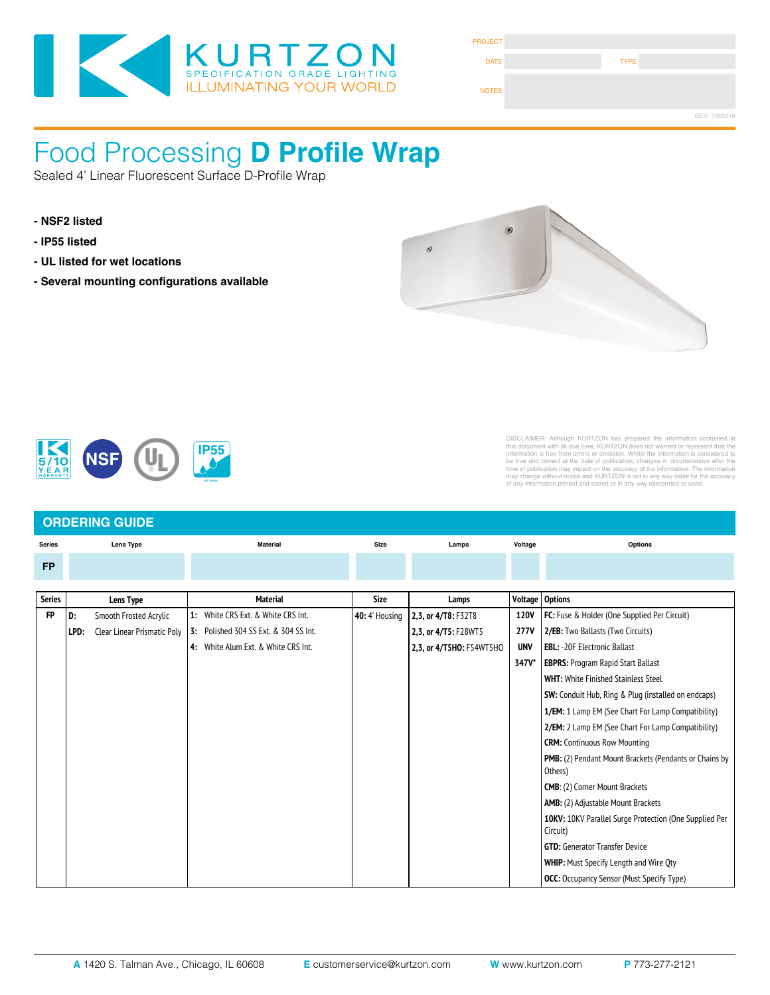

| <b>PROJECT</b> |             |               |
|----------------|-------------|---------------|
| <b>DATE</b>    | <b>TYPE</b> |               |
| <b>NOTES</b>   |             |               |
|                |             | REV: 7/3/2018 |

#### ENNA Processina LOUGH FOR 29911 A LIQUE M Food Processing **D Profile Wrap**

Sealed 4' Linear Fluorescent Surface D-Profile Wrap

- 
- 
- 
- Several mounting configurations available



Fixture Type



### DISCLAIMER: Although KURTZON has prepared the information contained in this document with all due care, KURTZON does not warrant or represent that the information is free from errors or omission. Whilst the information is considered to be true and correct at the date of publication, changes i

#### **ORDERING GUIDE Series Lens Type Material Size FP Options Series**  $\overline{\phantom{a}}$  **304 SS**  $\overline{\phantom{a}}$  **M 4**: White AL Hsg. & Polished 304 SS Door **7**: White AL Hsg. & White CRS Door **1x4**: 1' x 4' Housing **2/LEDR Size** 830 = 3000K CCT 840 = 4000K CCT 850 = 5000K CCT **90 CRI**: **3/LEDR**  $2,3$ , or  $4/T8$ : F32T8 2.3. or 4/T5: F28WT5 Lamps **Voltage 2/ED**: Two Drivers (Two Circuits) **EM10**: 10W Integral LED EM (Specify Input Voltage)  $\overline{\text{Voltage}}$  Options Voltage) FP | D: Smooth Frosted Acrylic | 1: White CRS Ext. & White CRS Int. | 40: 4' Housing | 2,3, or 4/T8: F32T8 | 120V | FC: Fuse & Holder (One Supplied Per Circuit) **277V** 2/EB: Two Ballasts (Two Circuits) **A19**: .156" Prismatic P19 Pattern Clear Acrylic 2,3, or 4/T5HO: F54WT5HO UNV **EBL:** -20F Electronic Ballast  $T_{\text{A7V*}}$  **EDDBC**: Droom **S47V\* EBPRS:** Program Rapid Start Ballast **Paramed Stainless Steel Programmed SW:** Conduit Hub, Ring & Plug (installed on endcaps) **10KV: 10KV: 10KV: 10KV: 10KV: 10KV: 10KV: 10KV: 10KV: 10KV: 10KV: 10KV: 10KV: 10KV: 10KV: 10KV: 10KV: 10KV: 10** Supplied Per Circuit) **CRM:** Continuous Row Mounting **WHIP**: Must Specify Length and Wire Qty **R**: Recessed D: Smooth Frosted Acrylic **3**: White 430 SS Hsg. & Polished 304 SS Door **4**: White AL Hsg. & Polished 304 SS Door **6** Act Nice 1: White CRS Ext & White CRS Int **2. All Hsp. and Prismatic Poly 13:** Polished 304 SS Ext. & 304 SS Int. **2008 277V 2/EB:** Two Ballasts (Two Circuits) **2x2**: 2' x 2' Housing Material **2/LEDR 2/LEDH 3/LEDH 4/LEDR 4/LEDH 4/LEDHF S**: Surface **1**: White CRS Hsg. & White CRS Door **2**: White CRS Hsg. & Polished 304 SS Door **3**: Polished 304 SS Hsg. & Polished 304 SS Door **4**: White AL Hsg. & Polished 304 SS Door **5**: White AL Hsg. & White AL Door **6**: White CRS Hsg. & White AL Door **7**: White AL Hsg. & White CRS Door **1x4**: 1' x 4' Housing **2/LEDR 2/LEDH 2/LEDHF 2/LEDR 2/LEDH 3/LEDR 3/LEDH 4/LEDR 4/LEDH 4/LEDHF Series Installation Type Material Size Source CCT Voltage Options Series Lens Type Material Size Lamps Voltage Options 4:** White Alum Ext. & White CRS Int. **1/EM:** 1 Lamp EM (See Chart For Lamp Compatibility) PMB: (2) Pendant Mount Brackets (Pendants or Chains by Others) **CMB**: (2) Corner Mount Brackets **AMB:** (2) Adjustable Mount Brackets **10KV:** 10KV Parallel Surge Protection (One Supplied Per Circuit) **GTD:** Generator Transfer Device **WHIP:** Must Specify Length and Wire Qty **OCC:** Occupancy Sensor (Must Specify Type)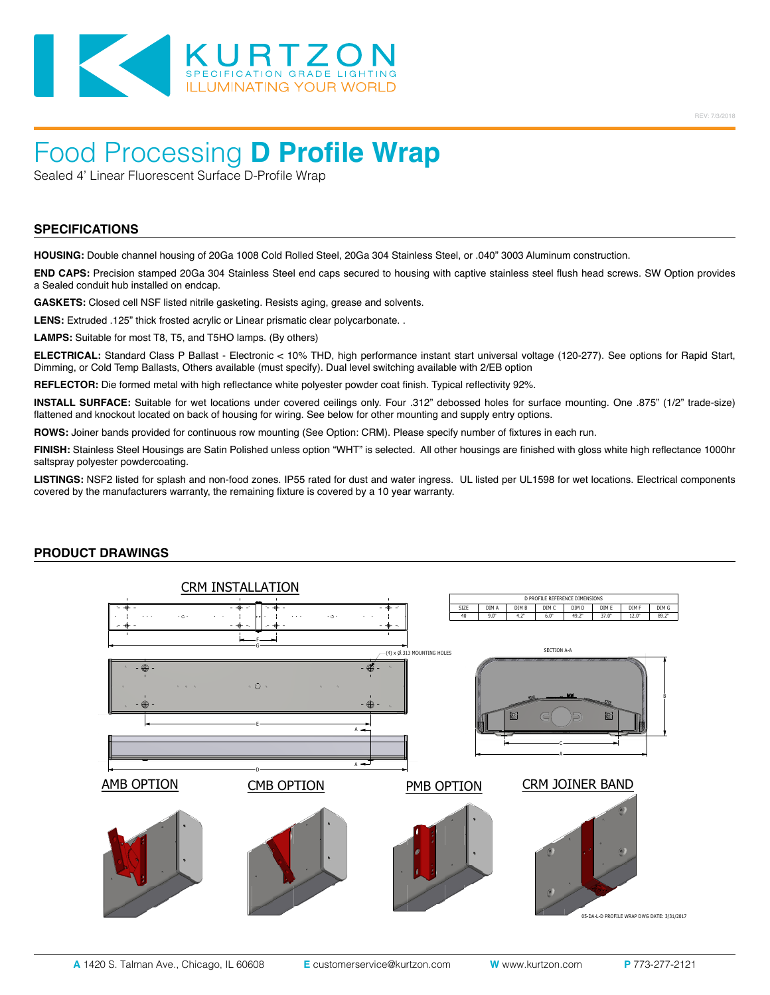

## Food Processing **D Profile Wrap**

Sealed 4' Linear Fluorescent Surface D-Profile Wrap

#### **SPECIFICATIONS**

**HOUSING:** Double channel housing of 20Ga 1008 Cold Rolled Steel, 20Ga 304 Stainless Steel, or .040" 3003 Aluminum construction.

**END CAPS:** Precision stamped 20Ga 304 Stainless Steel end caps secured to housing with captive stainless steel flush head screws. SW Option provides a Sealed conduit hub installed on endcap.

**GASKETS:** Closed cell NSF listed nitrile gasketing. Resists aging, grease and solvents.

**LENS:** Extruded .125" thick frosted acrylic or Linear prismatic clear polycarbonate. .

**LAMPS:** Suitable for most T8, T5, and T5HO lamps. (By others)

**ELECTRICAL:** Standard Class P Ballast - Electronic < 10% THD, high performance instant start universal voltage (120-277). See options for Rapid Start, Dimming, or Cold Temp Ballasts, Others available (must specify). Dual level switching available with 2/EB option

**REFLECTOR:** Die formed metal with high reflectance white polyester powder coat finish. Typical reflectivity 92%.

**INSTALL SURFACE:** Suitable for wet locations under covered ceilings only. Four .312" debossed holes for surface mounting. One .875" (1/2" trade-size) flattened and knockout located on back of housing for wiring. See below for other mounting and supply entry options.

**ROWS:** Joiner bands provided for continuous row mounting (See Option: CRM). Please specify number of fixtures in each run.

**FINISH:** Stainless Steel Housings are Satin Polished unless option "WHT" is selected. All other housings are finished with gloss white high reflectance 1000hr saltspray polyester powdercoating.

**LISTINGS:** NSF2 listed for splash and non-food zones. IP55 rated for dust and water ingress. UL listed per UL1598 for wet locations. Electrical components covered by the manufacturers warranty, the remaining fixture is covered by a 10 year warranty.



#### **PRODUCT DRAWINGS**